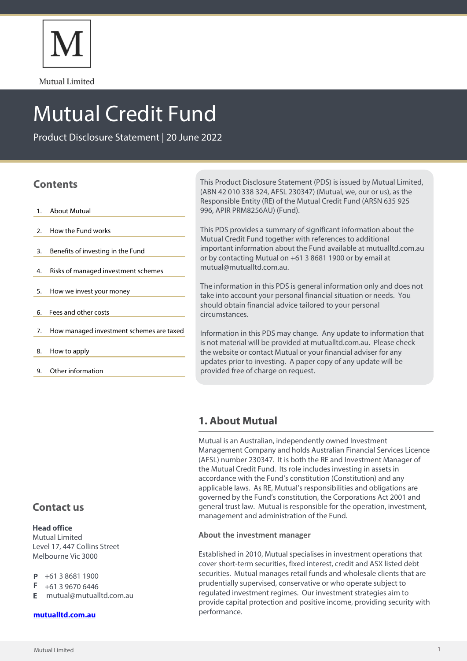

Mutual Limited

# Mutual Credit Fund

Product Disclosure Statement | 20 June 2022

# **Contents**

- 1. About Mutual
- 2. How the Fund works
- 3. Benefits of investing in the Fund
- 4. Risks of managed investment schemes
- 5. How we invest your money
- 6. Fees and other costs
- 7. How managed investment schemes are taxed
- 8. How to apply
- 9. Other information

This Product Disclosure Statement (PDS) is issued by Mutual Limited, (ABN 42 010 338 324, AFSL 230347) (Mutual, we, our or us), as the Responsible Entity (RE) of the Mutual Credit Fund (ARSN 635 925 996, APIR PRM8256AU) (Fund).

This PDS provides a summary of significant information about the Mutual Credit Fund together with references to additional important information about the Fund available at mutualltd.com.au or by contacting Mutual on +61 3 8681 1900 or by email at mutual@mutualltd.com.au.

The information in this PDS is general information only and does not take into account your personal financial situation or needs. You should obtain financial advice tailored to your personal circumstances.

Information in this PDS may change. Any update to information that is not material will be provided at mutualltd.com.au. Please check the website or contact Mutual or your financial adviser for any updates prior to investing. A paper copy of any update will be provided free of charge on request.

# **1. About Mutual**

Mutual is an Australian, independently owned Investment Management Company and holds Australian Financial Services Licence (AFSL) number 230347. It is both the RE and Investment Manager of the Mutual Credit Fund. Its role includes investing in assets in accordance with the Fund's constitution (Constitution) and any applicable laws. As RE, Mutual's responsibilities and obligations are governed by the Fund's constitution, the Corporations Act 2001 and general trust law. Mutual is responsible for the operation, investment, management and administration of the Fund.

## **About the investment manager**

Established in 2010, Mutual specialises in investment operations that cover short-term securities, fixed interest, credit and ASX listed debt securities. Mutual manages retail funds and wholesale clients that are prudentially supervised, conservative or who operate subject to regulated investment regimes. Our investment strategies aim to provide capital protection and positive income, providing security with performance.

# **Contact us**

## **Head office**

Mutual Limited Level 17, 447 Collins Street Melbourne Vic 3000

- +61 3 8681 1900 D
- F +61 3 9670 6446
- mutual@mutualltd.com.au **E**

## **[mutualltd.com.au](www.mutualltd.com.au)**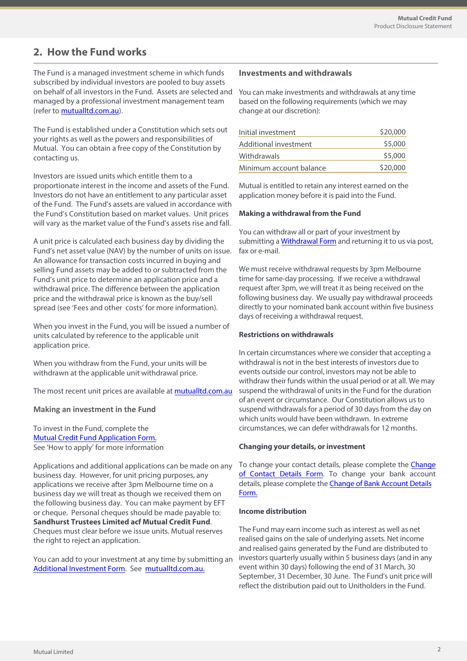# **2. How the Fund works**

The Fund is a managed investment scheme in which funds subscribed by individual investors are pooled to buy assets on behalf of all investors in the Fund. Assets are selected and managed by a professional investment management team (refer to [mutualltd.com.au\)](mutualltd.com.au).

The Fund is established under a Constitution which sets out your rights as well as the powers and responsibilities of Mutual. You can obtain a free copy of the Constitution by contacting us.

Investors are issued units which entitle them to a proportionate interest in the income and assets of the Fund. Investors do not have an entitlement to any particular asset of the Fund. The Fund's assets are valued in accordance with the Fund's Constitution based on market values. Unit prices will vary as the market value of the Fund's assets rise and fall.

A unit price is calculated each business day by dividing the Fund's net asset value (NAV) by the number of units on issue. An allowance for transaction costs incurred in buying and selling Fund assets may be added to or subtracted from the Fund's unit price to determine an application price and a withdrawal price. The difference between the application price and the withdrawal price is known as the buy/sell spread (see 'Fees and other costs' for more information).

When you invest in the Fund, you will be issued a number of units calculated by reference to the applicable unit application price.

When you withdraw from the Fund, your units will be withdrawn at the applicable unit withdrawal price.

The most recent unit prices are available at<mutualltd.com.au>

#### **Making an investment in the Fund**

To invest in the Fund, complete the Mutual Credit Fund [Application Form.](https://www.mutualltd.com.au/2019/wp-content/uploads/2022/06/Mutual-Limited-Mutual-Credit-Fund-Application-Form.pdf) See 'How to apply' for more information

Applications and additional applications can be made on any business day. However, for unit pricing purposes, any applications we receive after 3pm Melbourne time on a business day we will treat as though we received them on the following business day. You can make payment by EFT or cheque. Personal cheques should be made payable to: **Sandhurst Trustees Limited acf Mutual Credit Fund**. Cheques must clear before we issue units. Mutual reserves the right to reject an application.

You can add to your investment at any time by submitting an [Additional Investment Form](https://www.mutualltd.com.au/2019/wp-content/uploads/2022/06/Mutual-Limited-Mutual-Credit-Fund-Additional-Investment-Form.pdf). See [mutualltd.com.au.](mutualltd.com.au)

## **Investments and withdrawals**

You can make investments and withdrawals at any time based on the following requirements (which we may change at our discretion):

| Initial investment      | \$20,000 |
|-------------------------|----------|
| Additional investment   | \$5,000  |
| Withdrawals             | \$5,000  |
| Minimum account balance | \$20,000 |

Mutual is entitled to retain any interest earned on the application money before it is paid into the Fund.

#### **Making a withdrawal from the Fund**

You can withdraw all or part of your investment by submitting a **Withdrawal Form** and returning it to us via post, fax or e-mail.

We must receive withdrawal requests by 3pm Melbourne time for same-day processing. If we receive a withdrawal request after 3pm, we will treat it as being received on the following business day. We usually pay withdrawal proceeds directly to your nominated bank account within five business days of receiving a withdrawal request.

#### **Restrictions on withdrawals**

In certain circumstances where we consider that accepting a withdrawal is not in the best interests of investors due to events outside our control, investors may not be able to withdraw their funds within the usual period or at all. We may suspend the withdrawal of units in the Fund for the duration of an event or circumstance. Our Constitution allows us to suspend withdrawals for a period of 30 days from the day on which units would have been withdrawn. In extreme circumstances, we can defer withdrawals for 12months.

#### **Changing your details, or investment**

To change your contact details, please complete the [Change](https://www.mutualltd.com.au/2019/wp-content/uploads/2022/06/Mutual-Limited-Change-of-Contact-Details-Form.pdf)  of [Contact](https://www.mutualltd.com.au/2019/wp-content/uploads/2022/06/Mutual-Limited-Change-of-Contact-Details-Form.pdf) Details Form. To change your bank account details, please complete the **Change of Bank Account Details** [Form.](https://www.mutualltd.com.au/2019/wp-content/uploads/2022/06/Mutual-Limited-Change-of-Bank-Account-Details-Form.pdf)

#### **Income distribution**

The Fund may earn income such as interest as well as net realised gains on the sale of underlying assets. Net income and realised gains generated by the Fund are distributed to investors quarterly usually within 5 business days (and in any event within 30 days) following the end of 31 March, 30 September, 31 December, 30 June. The Fund's unit price will reflect the distribution paid out to Unitholders in the Fund.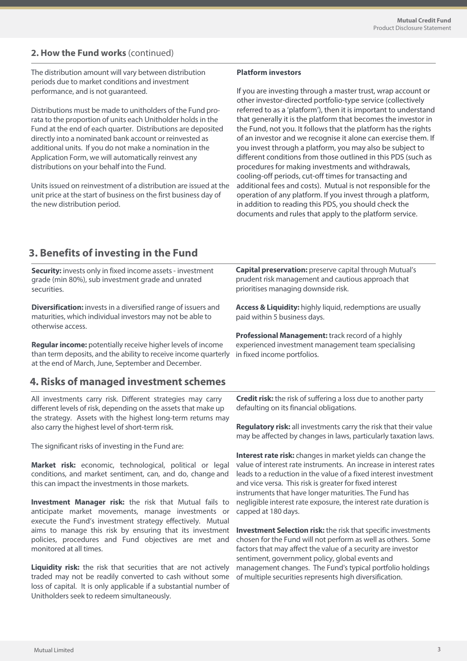## **2. How the Fund works** (continued)

The distribution amount will vary between distribution periods due to market conditions and investment performance, and is not guaranteed.

Distributions must be made to unitholders of the Fund prorata to the proportion of units each Unitholder holds in the Fund at the end of each quarter. Distributions are deposited directly into a nominated bank account or reinvested as additional units. If you do not make a nomination in the Application Form, we will automatically reinvest any distributions on your behalf into the Fund.

Units issued on reinvestment of a distribution are issued at the unit price at the start of business on the first business day of the new distribution period.

#### **Platform investors**

If you are investing through a master trust, wrap account or other investor-directed portfolio-type service (collectively referred to as a 'platform'), then it is important to understand that generally it is the platform that becomes the investor in the Fund, not you. It follows that the platform has the rights of an investor and we recognise it alone can exercise them. If you invest through a platform, you may also be subject to different conditions from those outlined in this PDS (such as procedures for making investments and withdrawals, cooling-off periods, cut-off times for transacting and additional fees and costs). Mutual is not responsible for the operation of any platform. If you invest through a platform, in addition to reading this PDS, you should check the documents and rules that apply to the platform service.

# **3. Benefits of investing in the Fund**

| Security: invests only in fixed income assets - investment<br>grade (min 80%), sub investment grade and unrated<br>securities.                                                              | <b>Capital preservation:</b> preserve capital through Mutual's<br>prudent risk management and cautious approach that<br>prioritises managing downside risk.                                                                                                                                                              |
|---------------------------------------------------------------------------------------------------------------------------------------------------------------------------------------------|--------------------------------------------------------------------------------------------------------------------------------------------------------------------------------------------------------------------------------------------------------------------------------------------------------------------------|
| <b>Diversification:</b> invests in a diversified range of issuers and<br>maturities, which individual investors may not be able to<br>otherwise access.                                     | Access & Liquidity: highly liquid, redemptions are usually<br>paid within 5 business days.                                                                                                                                                                                                                               |
| Regular income: potentially receive higher levels of income<br>than term deposits, and the ability to receive income quarterly<br>at the end of March, June, September and December.        | <b>Professional Management:</b> track record of a highly<br>experienced investment management team specialising<br>in fixed income portfolios.                                                                                                                                                                           |
| 4. Risks of managed investment schemes                                                                                                                                                      |                                                                                                                                                                                                                                                                                                                          |
| All investments carry risk. Different strategies may carry<br>different levels of risk, depending on the assets that make up<br>the strategy. Assets with the highest long-term returns may | <b>Credit risk:</b> the risk of suffering a loss due to another party<br>defaulting on its financial obligations.                                                                                                                                                                                                        |
| also carry the highest level of short-term risk.                                                                                                                                            | Regulatory risk: all investments carry the risk that their value<br>may be affected by changes in laws, particularly taxation laws.                                                                                                                                                                                      |
| The significant risks of investing in the Fund are:                                                                                                                                         |                                                                                                                                                                                                                                                                                                                          |
| Market risk: economic, technological, political or legal<br>conditions, and market sentiment, can, and do, change and<br>this can impact the investments in those markets.                  | Interest rate risk: changes in market yields can change the<br>value of interest rate instruments. An increase in interest rates<br>leads to a reduction in the value of a fixed interest investment<br>and vice versa. This risk is greater for fixed interest<br>instruments that have longer maturities. The Fund has |
| <b>Investment Manager risk:</b> the risk that Mutual fails to<br>anticipate market movements, manage investments or<br>execute the Fund's investment strategy effectively. Mutual           | negligible interest rate exposure, the interest rate duration is<br>capped at 180 days.                                                                                                                                                                                                                                  |

aims to manage this risk by ensuring that its investment policies, procedures and Fund objectives are met and **Liquidity risk:** the risk that securities that are not actively traded may not be readily converted to cash without some **Investment Selection risk:** the risk that specific investments chosen for the Fund will not perform as well as others. Some factors that may affect the value of a security are investor sentiment, government policy, global events and management changes. The Fund's typical portfolio holdings of multiple securities represents high diversification.

Mutual Limited 3

monitored at all times.

loss of capital. It is only applicable if a substantial number of

Unitholders seek to redeem simultaneously.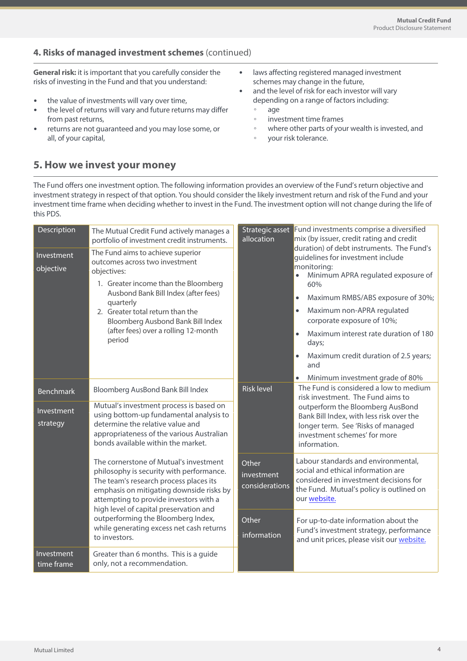## **4. Risks of managed investment schemes** (continued)

**General risk:** it is important that you carefully consider the risks of investing in the Fund and that you understand:

- the value of investments will vary over time,
- the level of returns will vary and future returns may differ from past returns,
- returns are not guaranteed and you may lose some, or all, of your capital,
- laws affecting registered managed investment schemes may change in the future,
- and the level of risk for each investor will vary depending on a range of factors including:
	- age
	- investment time frames
	- where other parts of your wealth is invested, and
	- your risk tolerance.

# **5. How we invest your money**

The Fund offers one investment option. The following information provides an overview of the Fund's return objective and investment strategy in respect of that option. You should consider the likely investment return and risk of the Fund and your investment time frame when deciding whether to invest in the Fund. The investment option will not change during the life of this PDS.

| Description<br>Investment | The Mutual Credit Fund actively manages a<br>portfolio of investment credit instruments.<br>The Fund aims to achieve superior                                                                                                                                                                                                                                   | Strategic asset<br>allocation                                                                                                                                      | Fund investments comprise a diversified<br>mix (by issuer, credit rating and credit<br>duration) of debt instruments. The Fund's<br>guidelines for investment include                                                                                                                                                                 |
|---------------------------|-----------------------------------------------------------------------------------------------------------------------------------------------------------------------------------------------------------------------------------------------------------------------------------------------------------------------------------------------------------------|--------------------------------------------------------------------------------------------------------------------------------------------------------------------|---------------------------------------------------------------------------------------------------------------------------------------------------------------------------------------------------------------------------------------------------------------------------------------------------------------------------------------|
| objective                 | outcomes across two investment<br>objectives:<br>1. Greater income than the Bloomberg<br>Ausbond Bank Bill Index (after fees)<br>quarterly<br>2. Greater total return than the<br>Bloomberg Ausbond Bank Bill Index<br>(after fees) over a rolling 12-month<br>period                                                                                           |                                                                                                                                                                    | monitoring:<br>Minimum APRA regulated exposure of<br>60%<br>Maximum RMBS/ABS exposure of 30%;<br>$\bullet$<br>Maximum non-APRA regulated<br>$\bullet$<br>corporate exposure of 10%;<br>Maximum interest rate duration of 180<br>$\bullet$<br>days;<br>Maximum credit duration of 2.5 years;<br>and<br>Minimum investment grade of 80% |
| <b>Benchmark</b>          | Bloomberg AusBond Bank Bill Index                                                                                                                                                                                                                                                                                                                               | <b>Risk level</b>                                                                                                                                                  | The Fund is considered a low to medium<br>risk investment. The Fund aims to                                                                                                                                                                                                                                                           |
| Investment<br>strategy    | Mutual's investment process is based on<br>using bottom-up fundamental analysis to<br>determine the relative value and<br>appropriateness of the various Australian<br>bonds available within the market.                                                                                                                                                       | outperform the Bloomberg AusBond<br>Bank Bill Index, with less risk over the<br>longer term. See 'Risks of managed<br>investment schemes' for more<br>information. |                                                                                                                                                                                                                                                                                                                                       |
|                           | The cornerstone of Mutual's investment<br>philosophy is security with performance.<br>The team's research process places its<br>emphasis on mitigating downside risks by<br>attempting to provide investors with a<br>high level of capital preservation and<br>outperforming the Bloomberg Index,<br>while generating excess net cash returns<br>to investors. | Other<br>investment<br>considerations                                                                                                                              | Labour standards and environmental,<br>social and ethical information are<br>considered in investment decisions for<br>the Fund. Mutual's policy is outlined on<br>our website.                                                                                                                                                       |
|                           |                                                                                                                                                                                                                                                                                                                                                                 | Other<br>information                                                                                                                                               | For up-to-date information about the<br>Fund's investment strategy, performance<br>and unit prices, please visit our website.                                                                                                                                                                                                         |
| Investment<br>time frame  | Greater than 6 months. This is a guide<br>only, not a recommendation.                                                                                                                                                                                                                                                                                           |                                                                                                                                                                    |                                                                                                                                                                                                                                                                                                                                       |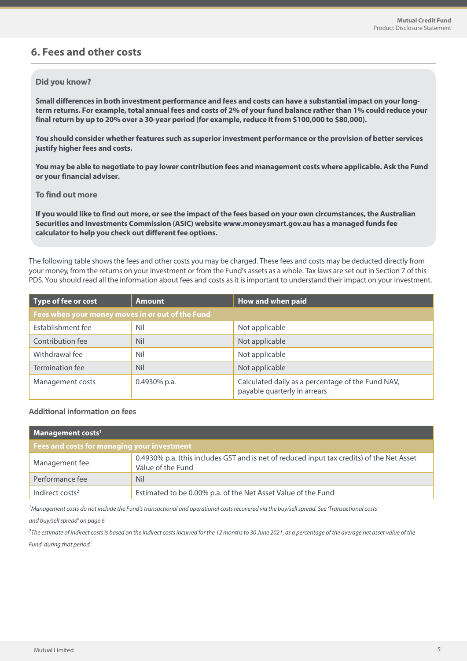# **6. Fees and other costs**

#### **Did you know?**

**Small differences in both investment performance and fees and costs can have a substantial impact on your longterm returns. For example, total annual fees and costs of 2% of your fund balance rather than 1% could reduce your final return by up to 20% over a 30-year period (for example, reduce it from \$100,000 to \$80,000).**

**You should consider whether features such as superior investment performance or the provision of better services justify higher fees and costs.**

**You may be able to negotiate to pay lower contribution fees and management costs where applicable. Ask the Fund or your financial adviser.**

#### **To find out more**

**If you would like to find out more, or see the impact of the fees based on your own circumstances, the Australian Securities and Investments Commission (ASIC) website www.moneysmart.gov.au has a managed funds fee calculator to help you check out different fee options.**

The following table shows the fees and other costs you may be charged. These fees and costs may be deducted directly from your money, from the returns on your investment or from the Fund's assets as a whole. Tax laws are set out in Section 7 of this PDS. You should read all the information about fees and costs as it is important to understand their impact on your investment.

| Type of fee or cost                              | <b>Amount</b>   | How and when paid                                                                 |  |
|--------------------------------------------------|-----------------|-----------------------------------------------------------------------------------|--|
| Fees when your money moves in or out of the Fund |                 |                                                                                   |  |
| Establishment fee                                | Nil             | Not applicable                                                                    |  |
| Contribution fee                                 | <b>Nil</b>      | Not applicable                                                                    |  |
| Withdrawal fee                                   | Nil             | Not applicable                                                                    |  |
| Termination fee                                  | Nil             | Not applicable                                                                    |  |
| Management costs                                 | $0.4930\%$ p.a. | Calculated daily as a percentage of the Fund NAV,<br>payable quarterly in arrears |  |

## **Additional information on fees**

| $\blacksquare$ Management costs <sup>1</sup> |                                                                                                                |  |
|----------------------------------------------|----------------------------------------------------------------------------------------------------------------|--|
| Fees and costs for managing your investment  |                                                                                                                |  |
| Management fee                               | 0.4930% p.a. (this includes GST and is net of reduced input tax credits) of the Net Asset<br>Value of the Fund |  |
| Performance fee                              | <b>Nil</b>                                                                                                     |  |
| Indirect costs <sup>2</sup>                  | Estimated to be 0.00% p.a. of the Net Asset Value of the Fund                                                  |  |

<sup>1</sup>Management costs do not include the Fund's transactional and operational costs recovered via the buy/sell spread. See 'Transactional costs

and buy/sell spread' on page 6

 $2$ The estimate of indirect costs is based on the Indirect costs incurred for the 12 months to 30 June 2021, as a percentage of the average net asset value of the Fund during that period.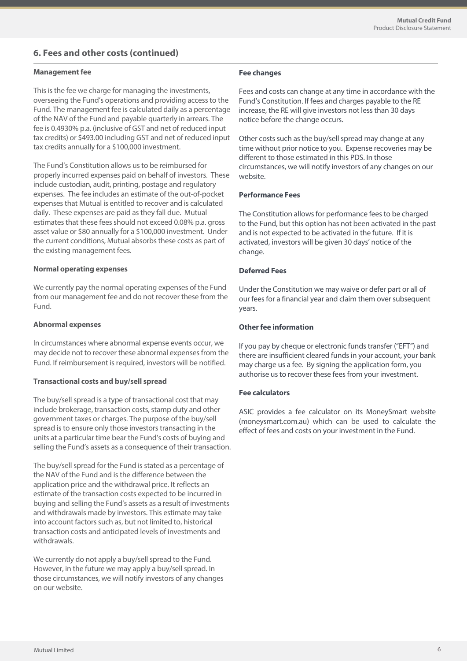## **6. Fees and other costs (continued)**

#### **Management fee**

This is the fee we charge for managing the investments, overseeing the Fund's operations and providing access to the Fund. The management fee is calculated daily as a percentage of the NAV of the Fund and payable quarterly in arrears. The fee is 0.4930% p.a. (inclusive of GST and net of reduced input tax credits) or \$493.00 including GST and net of reduced input tax credits annually for a \$100,000 investment.

The Fund's Constitution allows us to be reimbursed for properly incurred expenses paid on behalf of investors. These include custodian, audit, printing, postage and regulatory expenses. The fee includes an estimate of the out-of-pocket expenses that Mutual is entitled to recover and is calculated daily. These expenses are paid as they fall due. Mutual estimates that these fees should not exceed 0.08% p.a. gross asset value or \$80 annually for a \$100,000 investment. Under the current conditions, Mutual absorbs these costs as part of the existing management fees.

#### **Normal operating expenses**

We currently pay the normal operating expenses of the Fund from our management fee and do not recover these from the Fund.

#### **Abnormal expenses**

In circumstances where abnormal expense events occur, we may decide not to recover these abnormal expenses from the Fund. If reimbursement is required, investors will be notified.

#### **Transactional costs and buy/sell spread**

The buy/sell spread is a type of transactional cost that may include brokerage, transaction costs, stamp duty and other government taxes or charges. The purpose of the buy/sell spread is to ensure only those investors transacting in the units at a particular time bear the Fund's costs of buying and selling the Fund's assets as a consequence of their transaction.

The buy/sell spread for the Fund is stated as a percentage of the NAV of the Fund and is the difference between the application price and the withdrawal price. It reflects an estimate of the transaction costs expected to be incurred in buying and selling the Fund's assets as a result of investments and withdrawals made by investors. This estimate may take into account factors such as, but not limited to, historical transaction costs and anticipated levels of investments and withdrawals.

We currently do not apply a buy/sell spread to the Fund. However, in the future we may apply a buy/sell spread. In those circumstances, we will notify investors of any changes on our website.

#### **Fee changes**

Fees and costs can change at any time in accordance with the Fund's Constitution. If fees and charges payable to the RE increase, the RE will give investors not less than 30 days notice before the change occurs.

Other costs such as the buy/sell spread may change at any time without prior notice to you. Expense recoveries may be different to those estimated in this PDS. In those circumstances, we will notify investors of any changes on our website.

#### **Performance Fees**

The Constitution allows for performance fees to be charged to the Fund, but this option has not been activated in the past and is not expected to be activated in the future. If it is activated, investors will be given 30 days' notice of the change.

#### **Deferred Fees**

Under the Constitution we may waive or defer part or all of our fees for a financial year and claim them over subsequent years.

#### **Other fee information**

If you pay by cheque or electronic funds transfer ("EFT") and there are insufficient cleared funds in your account, your bank may charge us a fee. By signing the application form, you authorise us to recover these fees from your investment.

#### **Fee calculators**

ASIC provides a fee calculator on its MoneySmart website (moneysmart.com.au) which can be used to calculate the effect of fees and costs on your investment in the Fund.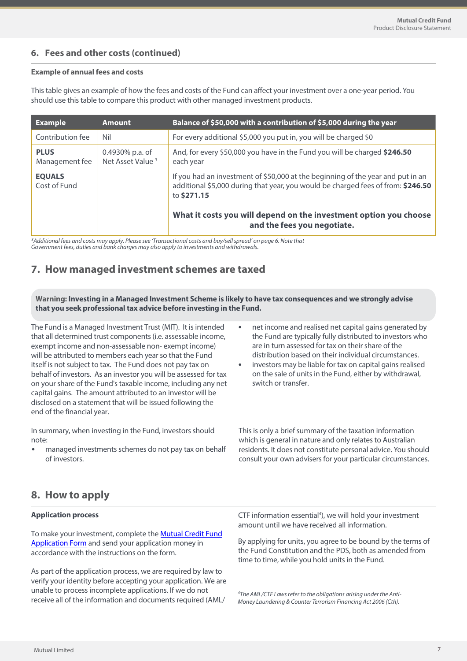## **6. Fees and other costs (continued)**

#### **Example of annual fees and costs**

This table gives an example of how the fees and costs of the Fund can affect your investment over a one-year period. You should use this table to compare this product with other managed investment products.

| <b>Example</b>                | <b>Amount</b>                                   | Balance of \$50,000 with a contribution of \$5,000 during the year                                                                                                                 |
|-------------------------------|-------------------------------------------------|------------------------------------------------------------------------------------------------------------------------------------------------------------------------------------|
| Contribution fee              | Nil                                             | For every additional \$5,000 you put in, you will be charged \$0                                                                                                                   |
| <b>PLUS</b><br>Management fee | 0.4930% p.a. of<br>Net Asset Value <sup>3</sup> | And, for every \$50,000 you have in the Fund you will be charged \$246.50<br>each year                                                                                             |
| <b>EQUALS</b><br>Cost of Fund |                                                 | If you had an investment of \$50,000 at the beginning of the year and put in an<br>additional \$5,000 during that year, you would be charged fees of from: \$246.50<br>to \$271.15 |
|                               |                                                 | What it costs you will depend on the investment option you choose<br>and the fees you negotiate.                                                                                   |

<sup>3</sup>Additional fees and costs may apply. Please see 'Transactional costs and buy/sell spread' on page 6. Note that<br>Government fees, duties and bank charges may also apply to investments and withdrawals.

# **7. How managed investment schemes are taxed**

**Warning: Investing in a Managed Investment Scheme is likely to have tax consequences and we strongly advise that you seek professional tax advice before investing in the Fund.**

The Fund is a Managed Investment Trust (MIT). It is intended that all determined trust components (i.e. assessable income, exempt income and non-assessable non- exempt income) will be attributed to members each year so that the Fund itself is not subject to tax. The Fund does not pay tax on behalf of investors. As an investor you will be assessed for tax on your share of the Fund's taxable income, including any net capital gains. The amount attributed to an investor will be disclosed on a statement that will be issued following the end of the financial year.

In summary, when investing in the Fund, investors should note:

• managed investments schemes do not pay tax on behalf of investors.

- net income and realised net capital gains generated by the Fund are typically fully distributed to investors who are in turn assessed for tax on their share of the distribution based on their individual circumstances.
- investors may be liable for tax on capital gains realised on the sale of units in the Fund, either by withdrawal, switch or transfer.

This is only a brief summary of the taxation information which is general in nature and only relates to Australian residents. It does not constitute personal advice. You should consult your own advisers for your particular circumstances.

## **8. How to apply**

#### **Application process**

To make your investment, complete the Mutual [Credit Fun](https://www.mutualltd.com.au/2019/wp-content/uploads/2022/06/Mutual-Limited-Mutual-Credit-Fund-Application-Form.pdf)d [Application Formand send yo](https://www.mutualltd.com.au/2019/wp-content/uploads/2022/06/Mutual-Limited-Mutual-Credit-Fund-Application-Form.pdf)ur application money in [accordance with the ins](mutualltd.com.au)tructions on the form.

As part of the application process, we are required by law to verify your identity before accepting your application. We are unable to process incomplete applications. If we do not receive all of the information and documents required (AML/

CTF information essential<sup>4</sup>), we will hold your investment amount until we have received all information.

By applying for units, you agree to be bound by the terms of the Fund Constitution and the PDS, both as amended from time to time, while you hold units in the Fund.

<sup>4</sup>The AML/CTF Laws refer to the obligations arising under the Anti-Money Laundering & Counter Terrorism Financing Act 2006 (Cth).